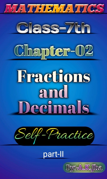

## part-II

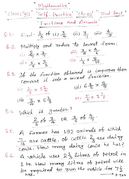| Class: $\frac{111}{111}$ | Mathematics | Ch: 02 | End: 1 | Part? |     |     |     |     |     |     |     |     |     |     |     |     |     |     |     |     |     |     |     |     |     |     |     |     |     |     |     |     |     |     |     |     |     |     |     |     |     |     |
|--------------------------|-------------|--------|--------|-------|-----|-----|-----|-----|-----|-----|-----|-----|-----|-----|-----|-----|-----|-----|-----|-----|-----|-----|-----|-----|-----|-----|-----|-----|-----|-----|-----|-----|-----|-----|-----|-----|-----|-----|-----|-----|-----|-----|
| 1                        | 1           | 1      | 1      | 1     | 1   | 1   | 1   | 1   | 1   |     |     |     |     |     |     |     |     |     |     |     |     |     |     |     |     |     |     |     |     |     |     |     |     |     |     |     |     |     |     |     |     |     |
| 1                        | 1           | 1      | 1      | 1     | 1   | 1   | 1   | 1   | 1   |     |     |     |     |     |     |     |     |     |     |     |     |     |     |     |     |     |     |     |     |     |     |     |     |     |     |     |     |     |     |     |     |     |
| 2                        | 1           | 1      | 1      | 1     | 1   | 1   | 1   | 1   | 1   |     |     |     |     |     |     |     |     |     |     |     |     |     |     |     |     |     |     |     |     |     |     |     |     |     |     |     |     |     |     |     |     |     |
| 3                        | 2           | 3      | 4      | 100   | 100 | 100 | 1   | 1   | 1   |     |     |     |     |     |     |     |     |     |     |     |     |     |     |     |     |     |     |     |     |     |     |     |     |     |     |     |     |     |     |     |     |     |
| 4                        | 3           | 4      | 100    | 100   | 100 | 100 | 100 | 100 | 100 | 100 | 100 | 100 | 100 | 100 | 100 | 100 | 100 | 100 | 100 | 100 | 100 | 100 | 100 | 100 | 100 | 100 | 100 | 100 | 100 | 100 | 100 | 100 | 100 | 100 | 100 | 100 | 100 | 100 | 100 | 100 | 100 | 100 |